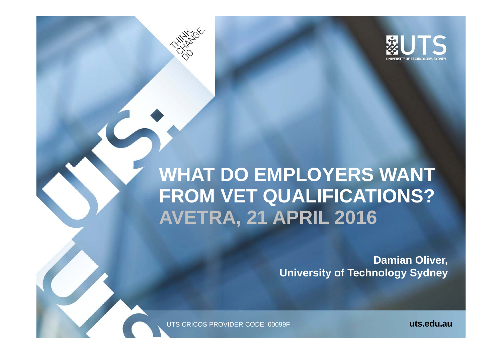

# **WHAT DO EMPLOYERS WANT FROM VET QUALIFICATIONS? AVETRA, 21 APRIL 2016**

**Damian Oliver, University of Technology Sydney**

UTS CRICOS PROVIDER CODE: 00099F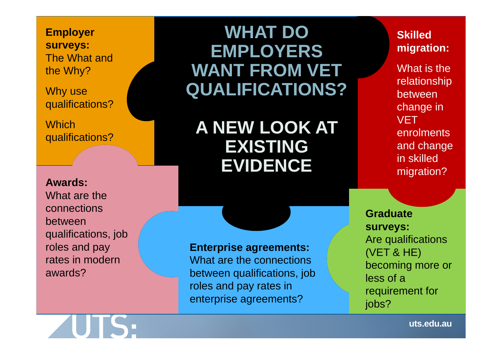**Employer surveys:** The What and the Why?

Why use qualifications?

**Which** qualifications?

**Awards:**What are the connections between qualifications, job roles and pay rates in modern awards?

### **WHAT DO EMPLOYERS WANT FROM VET QUALIFICATIONS?**

**A NEW LOOK AT EXISTING EVIDENCE**

**Enterprise agreements:**

What are the connections between qualifications, job roles and pay rates in enterprise agreements?

**Graduate surveys:** Are qualifications (VET & HE) becoming more or less of a requirement for jobs?

**Skilled** 

**migration:**

What is the

relationship

between

**VFT** 

change in

enrolments

and change

in skilled

migration?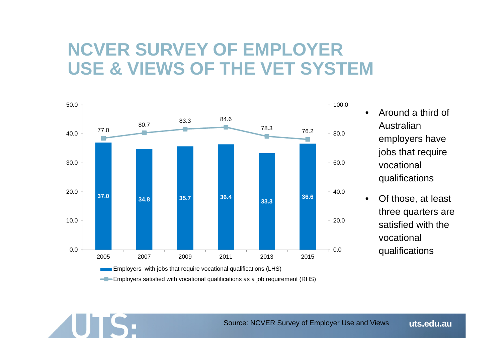### **NCVER SURVEY OF EMPLOYER USE & VIEWS OF THE VET SYSTEM**



**UTS:** 

- • Around a third of Australian employers have jobs that require vocational qualifications
- • Of those, at least three quarters are satisfied with the vocational qualifications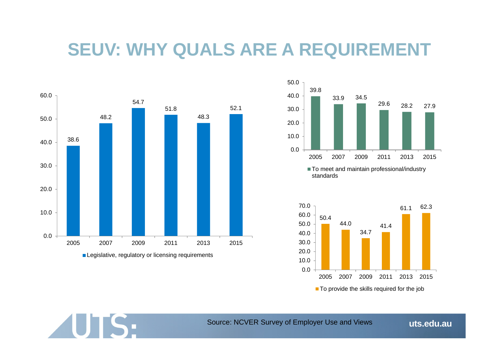### **SEUV: WHY QUALS ARE A REQUIREMENT**



**UTS:** 







Source: NCVER Survey of Employer Use and Views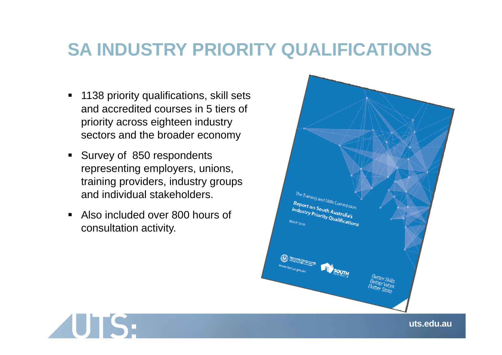### **SA INDUSTRY PRIORITY QUALIFICATIONS**

- 1138 priority qualifications, skill sets and accredited courses in 5 tiers of priority across eighteen industry sectors and the broader economy
- **Survey of 850 respondents** representing employers, unions, training providers, industry groups and individual stakeholders.
- $\blacksquare$  Also included over 800 hours of consultation activity.



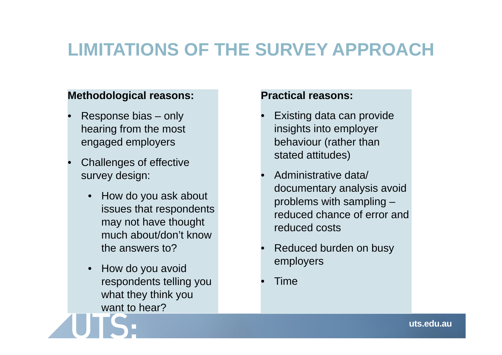# **LIMITATIONS OF THE SURVEY APPROACH**

### **Methodological reasons:**

- • Response bias – only hearing from the most engaged employers
- • Challenges of effective survey design:
	- • How do you ask about issues that respondents may not have thought much about/don't know the answers to?
	- • How do you avoid respondents telling you what they think you want to hear?

### **Practical reasons:**

- • Existing data can provide insights into employer behaviour (rather than stated attitudes)
- • Administrative data/ documentary analysis avoid problems with sampling – reduced chance of error and reduced costs
- • Reduced burden on busy employers
- •**Time**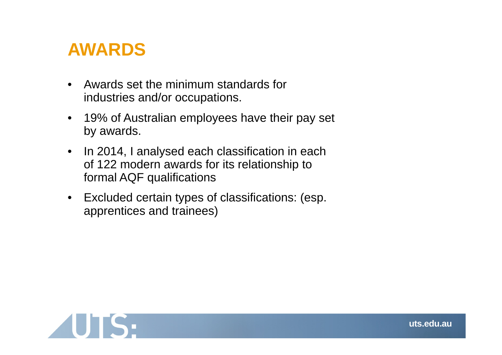### **AWARDS**

- $\bullet$  Awards set the minimum standards for industries and/or occupations.
- $\bullet$  19% of Australian employees have their pay set by awards.
- $\bullet$  In 2014, I analysed each classification in each of 122 modern awards for its relationship to formal AQF qualifications
- $\bullet$  Excluded certain types of classifications: (esp. apprentices and trainees)

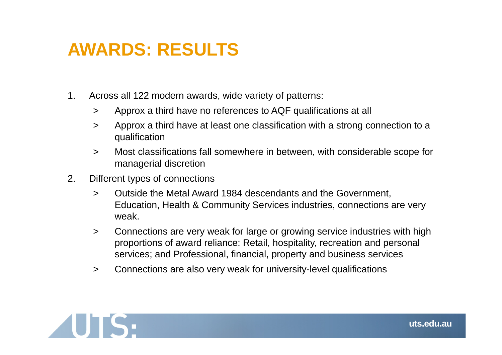## **AWARDS: RESULTS**

- 1. Across all 122 modern awards, wide variety of patterns:
	- $\geq$ Approx a third have no references to AQF qualifications at all
	- $\geq$  Approx a third have at least one classification with a strong connection to a qualification
	- $\geq$  Most classifications fall somewhere in between, with considerable scope for managerial discretion
- 2. Different types of connections
	- $\geq$  Outside the Metal Award 1984 descendants and the Government, Education, Health & Community Services industries, connections are very weak.
	- $\geq$  Connections are very weak for large or growing service industries with high proportions of award reliance: Retail, hospitality, recreation and personal services; and Professional, financial, property and business services
	- $\geq$ Connections are also very weak for university-level qualifications

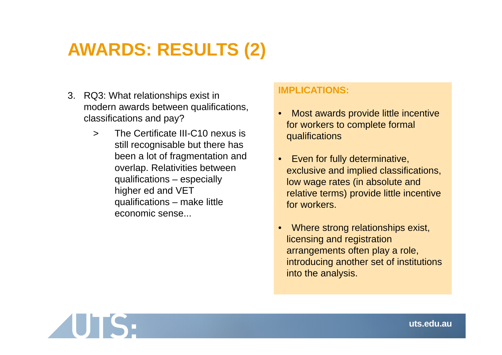# **AWARDS: RESULTS (2)**

- 3. RQ3: What relationships exist in modern awards between qualifications, classifications and pay?
	- $\geq$  The Certificate III-C10 nexus is still recognisable but there has been a lot of fragmentation and overlap. Relativities between qualifications – especially higher ed and VET qualifications – make little economic sense...

#### **IMPLICATIONS:**

- • Most awards provide little incentive for workers to complete formal qualifications
- • Even for fully determinative, exclusive and implied classifications, low wage rates (in absolute and relative terms) provide little incentive for workers.
- • Where strong relationships exist, licensing and registration arrangements often play a role, introducing another set of institutions into the analysis.

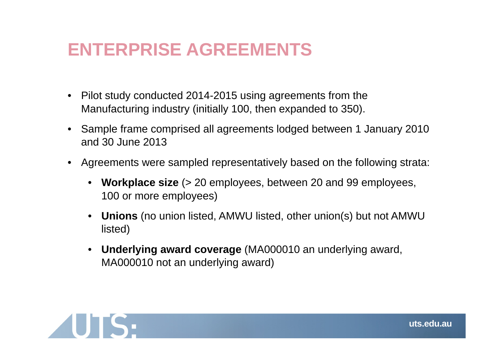### **ENTERPRISE AGREEMENTS**

- • Pilot study conducted 2014-2015 using agreements from the Manufacturing industry (initially 100, then expanded to 350).
- • Sample frame comprised all agreements lodged between 1 January 2010 and 30 June 2013
- • Agreements were sampled representatively based on the following strata:
	- **Workplace size** (> 20 employees, between 20 and 99 employees, 100 or more employees)
	- **Unions** (no union listed, AMWU listed, other union(s) but not AMWU listed)
	- **Underlying award coverage** (MA000010 an underlying award, MA000010 not an underlying award)

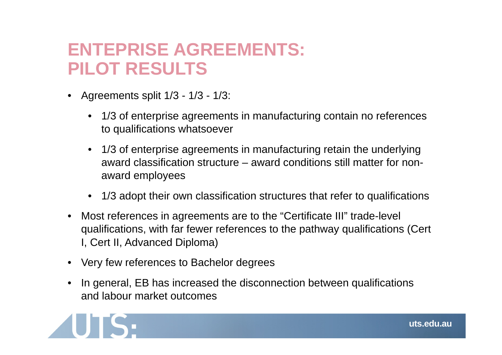### **ENTEPRISE AGREEMENTS: PILOT RESULTS**

- • Agreements split 1/3 - 1/3 - 1/3:
	- 1/3 of enterprise agreements in manufacturing contain no references to qualifications whatsoever
	- 1/3 of enterprise agreements in manufacturing retain the underlying award classification structure – award conditions still matter for nonaward employees
	- 1/3 adopt their own classification structures that refer to qualifications
- • Most references in agreements are to the "Certificate III" trade-level qualifications, with far fewer references to the pathway qualifications (Cert I, Cert II, Advanced Diploma)
- •Very few references to Bachelor degrees
- • In general, EB has increased the disconnection between qualifications and labour market outcomes

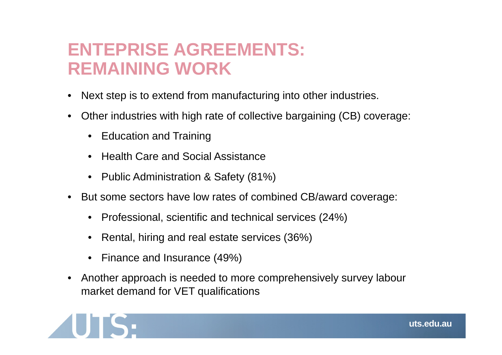### **ENTEPRISE AGREEMENTS: REMAINING WORK**

- •Next step is to extend from manufacturing into other industries.
- • Other industries with high rate of collective bargaining (CB) coverage:
	- Education and Training
	- Health Care and Social Assistance
	- Public Administration & Safety (81%)
- • But some sectors have low rates of combined CB/award coverage:
	- Professional, scientific and technical services (24%)
	- •Rental, hiring and real estate services (36%)
	- Finance and Insurance (49%)
- • Another approach is needed to more comprehensively survey labour market demand for VET qualifications

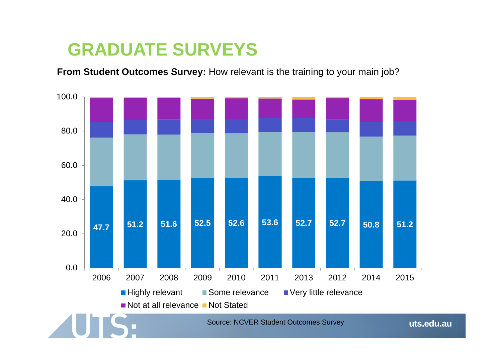### **GRADUATE SURVEYS**

**From Student Outcomes Survey:** How relevant is the training to your main job?

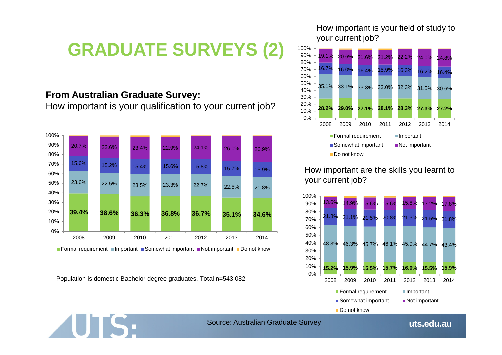# **GRADUATE SURVEYS (2)**

#### **From Australian Graduate Survey:**

How important is your qualification to your current job?



Population is domestic Bachelor degree graduates. Total n=543,082

**UTS:** 

#### How important is your field of study to your current job?



#### How important are the skills you learnt to your current job?



Source: Australian Graduate Survey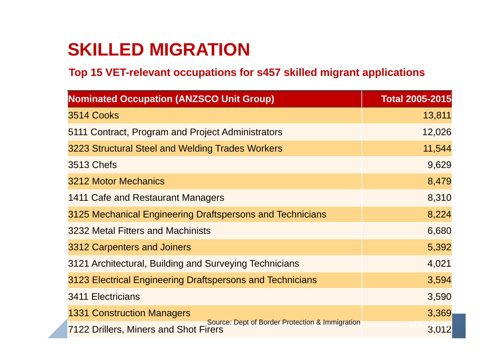# **SKILLED MIGRATION**

### **Top 15 VET-relevant occupations for s457 skilled migrant applications**

| <b>Nominated Occupation (ANZSCO Unit Group)</b>                                                 | <b>Total 2005-2015</b> |
|-------------------------------------------------------------------------------------------------|------------------------|
| 3514 Cooks                                                                                      | 13,811                 |
| 5111 Contract, Program and Project Administrators                                               | 12,026                 |
| 3223 Structural Steel and Welding Trades Workers                                                | 11,544                 |
| <b>3513 Chefs</b>                                                                               | 9,629                  |
| 3212 Motor Mechanics                                                                            | 8,479                  |
| 1411 Cafe and Restaurant Managers                                                               | 8,310                  |
| 3125 Mechanical Engineering Draftspersons and Technicians                                       | 8,224                  |
| 3232 Metal Fitters and Machinists                                                               | 6,680                  |
| 3312 Carpenters and Joiners                                                                     | 5,392                  |
| 3121 Architectural, Building and Surveying Technicians                                          | 4,021                  |
| 3123 Electrical Engineering Draftspersons and Technicians                                       | 3,594                  |
| <b>3411 Electricians</b>                                                                        | 3,590                  |
| <b>1331 Construction Managers</b>                                                               | 3,369                  |
| Source: Dept of Border Protection & Immigration<br><b>7122 Drillers, Miners and Shot Firers</b> | 3,012                  |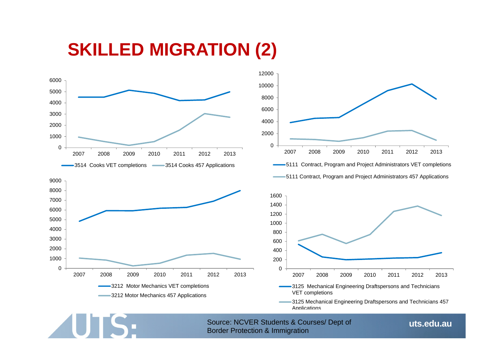### **SKILLED MIGRATION (2)**



**UTS:** 



3125 Mechanical Engineering Draftspersons and Technicians 457 **Applications** 

Source: NCVER Students & Courses/ Dept of Border Protection & Immigration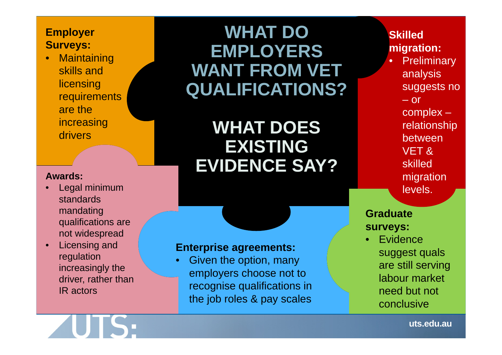### **Employer Surveys:**

 $\bullet$ **Maintaining** skills and **licensing requirements** are the increasing drivers

#### **Awards:**

- • Legal minimum standards mandating qualifications are not widespread
- • Licensing and regulation increasingly the driver, rather than IR actors

### **WHAT DO EMPLOYERS WANT FROM VET QUALIFICATIONS?**

**WHAT DOES EXISTING EVIDENCE SAY?**

#### **Enterprise agreements:**

• Given the option, many employers choose not to recognise qualifications in the job roles & pay scales

### **Skilled migration:**

- •**Preliminary** analysis suggests no – or
	- complex relationship
	- between
	- VET & skilled migration
	- levels.

### **Graduate surveys:**

•**Evidence** suggest quals are still serving labour market need but not conclusive